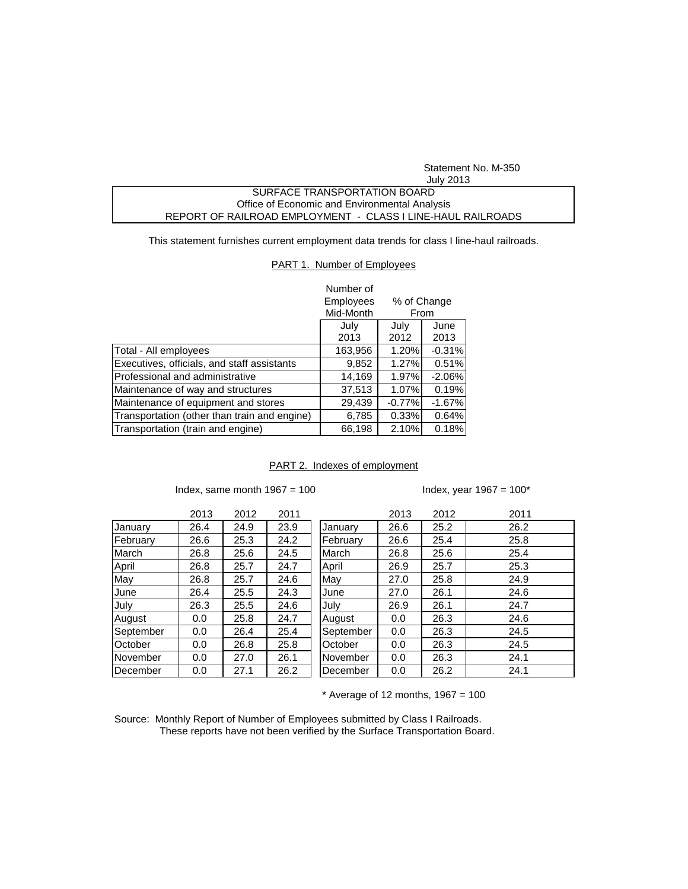Statement No. M-350 July 2013

## SURFACE TRANSPORTATION BOARD Office of Economic and Environmental Analysis REPORT OF RAILROAD EMPLOYMENT - CLASS I LINE-HAUL RAILROADS

This statement furnishes current employment data trends for class I line-haul railroads.

## PART 1. Number of Employees

|                                              | Number of                |          |          |  |
|----------------------------------------------|--------------------------|----------|----------|--|
|                                              | Employees<br>% of Change |          |          |  |
|                                              | Mid-Month                | From     |          |  |
|                                              | July                     | July     | June     |  |
|                                              | 2013                     | 2012     | 2013     |  |
| Total - All employees                        | 163,956                  | 1.20%    | $-0.31%$ |  |
| Executives, officials, and staff assistants  | 9,852                    | 1.27%    | 0.51%    |  |
| Professional and administrative              | 14,169                   | 1.97%    | $-2.06%$ |  |
| Maintenance of way and structures            | 37,513                   | 1.07%    | 0.19%    |  |
| Maintenance of equipment and stores          | 29,439                   | $-0.77%$ | $-1.67%$ |  |
| Transportation (other than train and engine) | 6,785                    | 0.33%    | 0.64%    |  |
| Transportation (train and engine)            | 66,198                   | 2.10%    | 0.18%    |  |

## PART 2. Indexes of employment

Index, same month  $1967 = 100$  Index, year  $1967 = 100^*$ 

|           | 2013 | 2012 | 2011 |           | 2013 | 2012 | 2011 |
|-----------|------|------|------|-----------|------|------|------|
| January   | 26.4 | 24.9 | 23.9 | January   | 26.6 | 25.2 | 26.2 |
| February  | 26.6 | 25.3 | 24.2 | February  | 26.6 | 25.4 | 25.8 |
| March     | 26.8 | 25.6 | 24.5 | March     | 26.8 | 25.6 | 25.4 |
| April     | 26.8 | 25.7 | 24.7 | April     | 26.9 | 25.7 | 25.3 |
| May       | 26.8 | 25.7 | 24.6 | May       | 27.0 | 25.8 | 24.9 |
| June      | 26.4 | 25.5 | 24.3 | June      | 27.0 | 26.1 | 24.6 |
| July      | 26.3 | 25.5 | 24.6 | July      | 26.9 | 26.1 | 24.7 |
| August    | 0.0  | 25.8 | 24.7 | August    | 0.0  | 26.3 | 24.6 |
| September | 0.0  | 26.4 | 25.4 | September | 0.0  | 26.3 | 24.5 |
| October   | 0.0  | 26.8 | 25.8 | October   | 0.0  | 26.3 | 24.5 |
| November  | 0.0  | 27.0 | 26.1 | November  | 0.0  | 26.3 | 24.1 |
| December  | 0.0  | 27.1 | 26.2 | December  | 0.0  | 26.2 | 24.1 |

 $*$  Average of 12 months, 1967 = 100

Source: Monthly Report of Number of Employees submitted by Class I Railroads. These reports have not been verified by the Surface Transportation Board.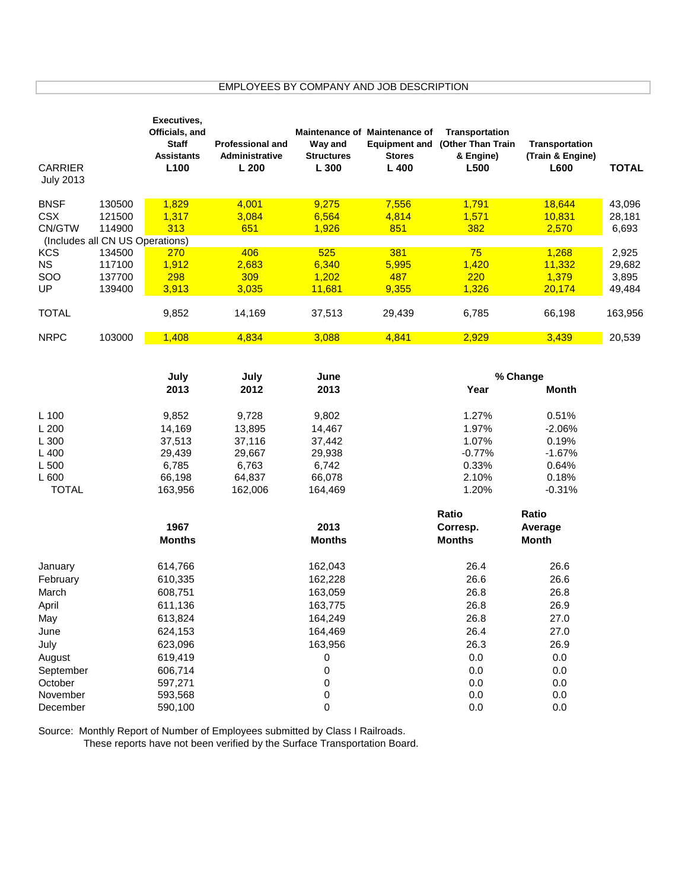## EMPLOYEES BY COMPANY AND JOB DESCRIPTION

| <b>CARRIER</b><br><b>July 2013</b> |                                           | Executives,<br>Officials, and<br><b>Staff</b><br><b>Assistants</b><br>L <sub>100</sub> | <b>Professional and</b><br>Administrative<br>L200 | Way and<br><b>Structures</b><br>L 300 | <b>Maintenance of Maintenance of</b><br><b>Equipment and</b><br><b>Stores</b><br>L 400 | Transportation<br>(Other Than Train<br>& Engine)<br>L500 | Transportation<br>(Train & Engine)<br>L600 | <b>TOTAL</b> |
|------------------------------------|-------------------------------------------|----------------------------------------------------------------------------------------|---------------------------------------------------|---------------------------------------|----------------------------------------------------------------------------------------|----------------------------------------------------------|--------------------------------------------|--------------|
|                                    |                                           |                                                                                        |                                                   |                                       |                                                                                        |                                                          |                                            |              |
| <b>BNSF</b>                        | 130500                                    | 1,829                                                                                  | 4,001                                             | 9,275                                 | 7,556                                                                                  | 1,791                                                    | 18,644                                     | 43,096       |
| <b>CSX</b>                         | 121500                                    | 1,317                                                                                  | 3,084                                             | 6,564                                 | 4,814                                                                                  | 1,571                                                    | 10,831                                     | 28,181       |
| CN/GTW                             | 114900<br>(Includes all CN US Operations) | 313                                                                                    | 651                                               | 1,926                                 | 851                                                                                    | 382                                                      | 2,570                                      | 6,693        |
| <b>KCS</b>                         | 134500                                    | 270                                                                                    | 406                                               | 525                                   | 381                                                                                    | 75                                                       | 1,268                                      | 2,925        |
| <b>NS</b>                          | 117100                                    | 1,912                                                                                  | 2,683                                             | 6,340                                 | 5,995                                                                                  | 1,420                                                    | 11,332                                     | 29,682       |
| SOO                                | 137700                                    | 298                                                                                    | 309                                               | 1,202                                 | 487                                                                                    | 220                                                      | 1,379                                      | 3,895        |
| UP                                 | 139400                                    | 3,913                                                                                  | 3,035                                             | 11,681                                | 9,355                                                                                  | 1,326                                                    | 20,174                                     | 49,484       |
|                                    |                                           |                                                                                        |                                                   |                                       |                                                                                        |                                                          |                                            |              |
| <b>TOTAL</b>                       |                                           | 9,852                                                                                  | 14,169                                            | 37,513                                | 29,439                                                                                 | 6,785                                                    | 66,198                                     | 163,956      |
| <b>NRPC</b>                        | 103000                                    | 1,408                                                                                  | 4,834                                             | 3,088                                 | 4,841                                                                                  | 2,929                                                    | 3,439                                      | 20,539       |
|                                    |                                           |                                                                                        |                                                   |                                       |                                                                                        |                                                          |                                            |              |
|                                    |                                           | July<br>2013                                                                           | July<br>2012                                      | June<br>2013                          | % Change<br>Year<br><b>Month</b>                                                       |                                                          |                                            |              |
|                                    |                                           |                                                                                        |                                                   |                                       |                                                                                        |                                                          |                                            |              |
| L 100                              |                                           | 9,852                                                                                  | 9,728                                             | 9,802                                 |                                                                                        | 1.27%                                                    | 0.51%                                      |              |
| L 200                              |                                           | 14,169                                                                                 | 13,895                                            | 14,467                                |                                                                                        | 1.97%                                                    | $-2.06%$                                   |              |
| L 300                              |                                           | 37,513                                                                                 | 37,116                                            | 37,442                                |                                                                                        | 1.07%                                                    | 0.19%                                      |              |
| L 400                              |                                           | 29,439                                                                                 | 29,667                                            | 29,938                                |                                                                                        | $-0.77%$                                                 | $-1.67%$                                   |              |
| L 500                              |                                           | 6,785                                                                                  | 6,763                                             | 6,742                                 |                                                                                        | 0.33%                                                    | 0.64%                                      |              |
| L 600                              |                                           | 66,198                                                                                 | 64,837                                            | 66,078                                |                                                                                        | 2.10%                                                    | 0.18%                                      |              |
| <b>TOTAL</b>                       |                                           | 163,956                                                                                | 162,006                                           | 164,469                               |                                                                                        | 1.20%                                                    | $-0.31%$                                   |              |
|                                    |                                           |                                                                                        |                                                   |                                       |                                                                                        | Ratio                                                    | Ratio                                      |              |
|                                    |                                           | 1967                                                                                   |                                                   | 2013                                  |                                                                                        | Corresp.                                                 | Average                                    |              |
|                                    |                                           | <b>Months</b>                                                                          |                                                   | <b>Months</b>                         |                                                                                        | <b>Months</b>                                            | <b>Month</b>                               |              |
| January                            |                                           | 614,766                                                                                |                                                   | 162,043                               |                                                                                        | 26.4                                                     | 26.6                                       |              |
| February                           |                                           | 610,335                                                                                |                                                   | 162,228                               |                                                                                        | 26.6                                                     | 26.6                                       |              |
| March                              |                                           | 608,751                                                                                |                                                   | 163,059                               |                                                                                        | 26.8                                                     | 26.8                                       |              |
| April                              |                                           | 611,136                                                                                |                                                   | 163,775                               |                                                                                        | 26.8                                                     | 26.9                                       |              |
| May                                |                                           | 613,824                                                                                |                                                   | 164,249                               |                                                                                        | 26.8                                                     | 27.0                                       |              |
| June                               |                                           | 624,153                                                                                |                                                   | 164,469                               |                                                                                        | 26.4                                                     | 27.0                                       |              |
| July                               |                                           | 623,096                                                                                |                                                   | 163,956                               |                                                                                        | 26.3                                                     | 26.9                                       |              |
| August                             |                                           | 619,419                                                                                |                                                   | 0                                     |                                                                                        | 0.0                                                      | 0.0                                        |              |
| September                          |                                           | 606,714                                                                                |                                                   | 0                                     |                                                                                        | 0.0                                                      | 0.0                                        |              |
| October                            |                                           | 597,271                                                                                |                                                   | 0                                     |                                                                                        | 0.0                                                      | 0.0                                        |              |
| November                           |                                           | 593,568                                                                                |                                                   | 0                                     |                                                                                        | 0.0                                                      | 0.0                                        |              |
| December                           |                                           | 590,100                                                                                |                                                   | 0                                     |                                                                                        | 0.0                                                      | 0.0                                        |              |

Source: Monthly Report of Number of Employees submitted by Class I Railroads.

These reports have not been verified by the Surface Transportation Board.